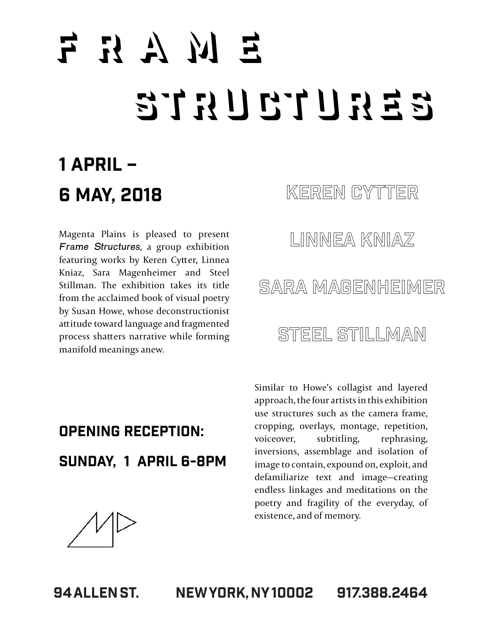# $F R A M E$  $S$  T  $R$  U  $C$  T  $C$   $R$   $S$

#### 1 April – 6 May, 2018

Magenta Plains is pleased to present Frame Structures, a group exhibition featuring works by Keren Cytter, Linnea Kniaz, Sara Magenheimer and Steel Stillman. The exhibition takes its title from the acclaimed book of visual poetry by Susan Howe, whose deconstructionist attitude toward language and fragmented process shatters narrative while forming manifold meanings anew.

#### KEREN CYTTER

Linnea Kniaz

#### Sara Magenheimer

#### STEEL STILLMAN

#### Opening Reception: Sunday, 1 April 6-8pm

Similar to Howe's collagist and layered approach, the four artists in this exhibition use structures such as the camera frame, cropping, overlays, montage, repetition, voiceover, subtitling, rephrasing, inversions, assemblage and isolation of image to contain, expound on, exploit, and defamiliarize text and image—creating endless linkages and meditations on the poetry and fragility of the everyday, of existence, and of memory.

94 Allen St. New York, NY 10002 917.388.2464